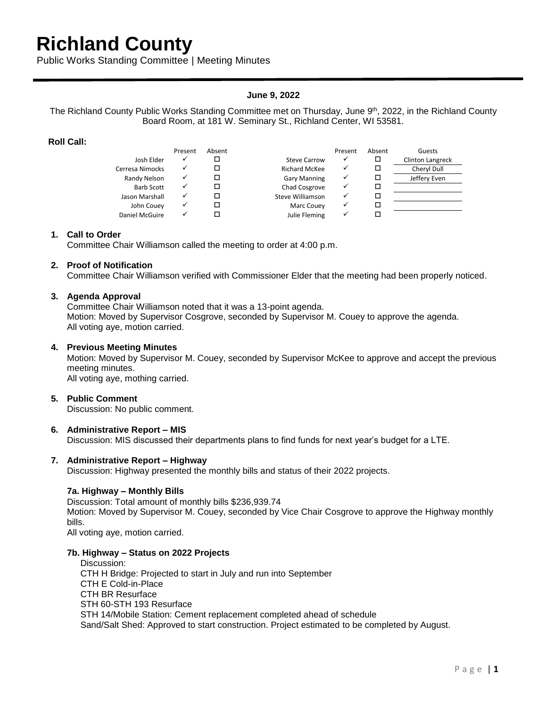## **Richland County**

Public Works Standing Committee | Meeting Minutes

## **June 9, 2022**

The Richland County Public Works Standing Committee met on Thursday, June 9<sup>th</sup>, 2022, in the Richland County Board Room, at 181 W. Seminary St., Richland Center, WI 53581.

## **Roll Call:**

|                   | Present | Absent |                      | Present | Absent | Guests                  |
|-------------------|---------|--------|----------------------|---------|--------|-------------------------|
| Josh Elder        |         |        | Steve Carrow         |         |        | <b>Clinton Langreck</b> |
| Cerresa Nimocks   |         |        | <b>Richard McKee</b> |         |        | Cheryl Dull             |
| Randy Nelson      |         |        | <b>Gary Manning</b>  |         |        | Jeffery Even            |
| <b>Barb Scott</b> |         |        | Chad Cosgrove        |         |        |                         |
| Jason Marshall    |         |        | Steve Williamson     |         |        |                         |
| John Couey        |         |        | Marc Couey           |         |        |                         |
| Daniel McGuire    |         |        | Julie Fleming        |         |        |                         |

#### **1. Call to Order**

Committee Chair Williamson called the meeting to order at 4:00 p.m.

## **2. Proof of Notification**

Committee Chair Williamson verified with Commissioner Elder that the meeting had been properly noticed.

#### **3. Agenda Approval**

Committee Chair Williamson noted that it was a 13-point agenda. Motion: Moved by Supervisor Cosgrove, seconded by Supervisor M. Couey to approve the agenda. All voting aye, motion carried.

#### **4. Previous Meeting Minutes**

Motion: Moved by Supervisor M. Couey, seconded by Supervisor McKee to approve and accept the previous meeting minutes. All voting aye, mothing carried.

#### **5. Public Comment**

Discussion: No public comment.

## **6. Administrative Report – MIS**

Discussion: MIS discussed their departments plans to find funds for next year's budget for a LTE.

## **7. Administrative Report – Highway**

Discussion: Highway presented the monthly bills and status of their 2022 projects.

## **7a. Highway – Monthly Bills**

Discussion: Total amount of monthly bills \$236,939.74 Motion: Moved by Supervisor M. Couey, seconded by Vice Chair Cosgrove to approve the Highway monthly bills.

All voting aye, motion carried.

#### **7b. Highway – Status on 2022 Projects**

Discussion: CTH H Bridge: Projected to start in July and run into September CTH E Cold-in-Place CTH BR Resurface STH 60-STH 193 Resurface STH 14/Mobile Station: Cement replacement completed ahead of schedule Sand/Salt Shed: Approved to start construction. Project estimated to be completed by August.